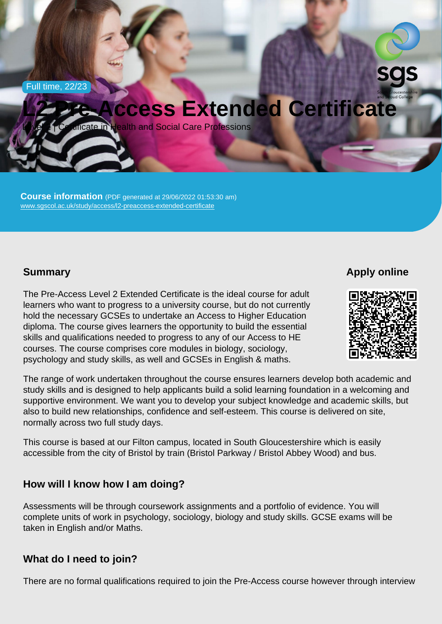Full time, 22/23

# L2 Pre-Access Extended Certificate

Level 2 | Certificate in Health and Social Care Professions

Course information (PDF generated at 29/06/2022 01:53:30 am) [www.sgscol.ac.uk/study/access/l2-preaccess-extended-certificate](https://www.sgscol.ac.uk/study/access/l2-preaccess-extended-certificate)

## **Summary**

Apply online

The Pre-Access Level 2 Extended Certificate is the ideal course for adult learners who want to progress to a university course, but do not currently hold the necessary GCSEs to undertake an Access to Higher Education diploma. The course gives learners the opportunity to build the essential skills and qualifications needed to progress to any of our Access to HE courses. The course comprises core modules in biology, sociology, psychology and study skills, as well and GCSEs in English & maths.

The range of work undertaken throughout the course ensures learners develop both academic and study skills and is designed to help applicants build a solid learning foundation in a welcoming and supportive environment. We want you to develop your subject knowledge and academic skills, but also to build new relationships, confidence and self-esteem. This course is delivered on site, normally across two full study days.

This course is based at our Filton campus, located in South Gloucestershire which is easily accessible from the city of Bristol by train (Bristol Parkway / Bristol Abbey Wood) and bus.

### How will I know how I am doing?

Assessments will be through coursework assignments and a portfolio of evidence. You will complete units of work in psychology, sociology, biology and study skills. GCSE exams will be taken in English and/or Maths.

#### What do I need to join?

There are no formal qualifications required to join the Pre-Access course however through interview